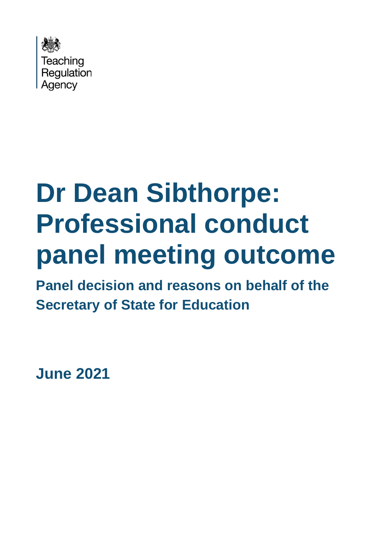

# **Dr Dean Sibthorpe: Professional conduct panel meeting outcome**

**Panel decision and reasons on behalf of the Secretary of State for Education**

**June 2021**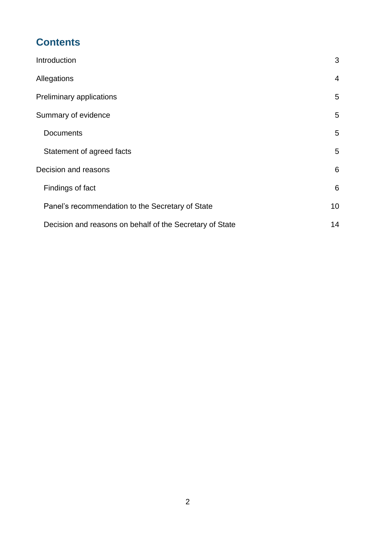# **Contents**

| Introduction                                             | 3              |
|----------------------------------------------------------|----------------|
| Allegations                                              | $\overline{4}$ |
| Preliminary applications                                 | 5              |
| Summary of evidence                                      | 5              |
| <b>Documents</b>                                         | 5              |
| Statement of agreed facts                                | 5              |
| Decision and reasons                                     | 6              |
| Findings of fact                                         | 6              |
| Panel's recommendation to the Secretary of State         | 10             |
| Decision and reasons on behalf of the Secretary of State | 14             |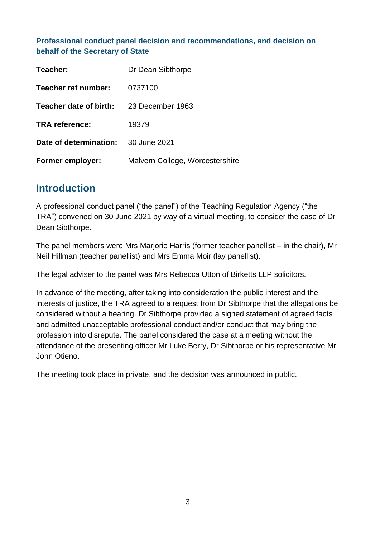#### **Professional conduct panel decision and recommendations, and decision on behalf of the Secretary of State**

| Teacher:                | Dr Dean Sibthorpe               |
|-------------------------|---------------------------------|
| Teacher ref number:     | 0737100                         |
| Teacher date of birth:  | 23 December 1963                |
| <b>TRA</b> reference:   | 19379                           |
| Date of determination:  | 30 June 2021                    |
| <b>Former employer:</b> | Malvern College, Worcestershire |

## <span id="page-2-0"></span>**Introduction**

A professional conduct panel ("the panel") of the Teaching Regulation Agency ("the TRA") convened on 30 June 2021 by way of a virtual meeting, to consider the case of Dr Dean Sibthorpe.

The panel members were Mrs Marjorie Harris (former teacher panellist – in the chair), Mr Neil Hillman (teacher panellist) and Mrs Emma Moir (lay panellist).

The legal adviser to the panel was Mrs Rebecca Utton of Birketts LLP solicitors.

In advance of the meeting, after taking into consideration the public interest and the interests of justice, the TRA agreed to a request from Dr Sibthorpe that the allegations be considered without a hearing. Dr Sibthorpe provided a signed statement of agreed facts and admitted unacceptable professional conduct and/or conduct that may bring the profession into disrepute. The panel considered the case at a meeting without the attendance of the presenting officer Mr Luke Berry, Dr Sibthorpe or his representative Mr John Otieno.

The meeting took place in private, and the decision was announced in public.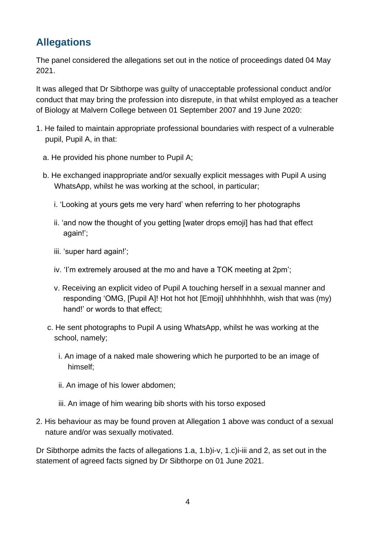# <span id="page-3-0"></span>**Allegations**

The panel considered the allegations set out in the notice of proceedings dated 04 May 2021.

It was alleged that Dr Sibthorpe was guilty of unacceptable professional conduct and/or conduct that may bring the profession into disrepute, in that whilst employed as a teacher of Biology at Malvern College between 01 September 2007 and 19 June 2020:

- 1. He failed to maintain appropriate professional boundaries with respect of a vulnerable pupil, Pupil A, in that:
	- a. He provided his phone number to Pupil A;
	- b. He exchanged inappropriate and/or sexually explicit messages with Pupil A using WhatsApp, whilst he was working at the school, in particular;
		- i. 'Looking at yours gets me very hard' when referring to her photographs
		- ii. 'and now the thought of you getting [water drops emoji] has had that effect again!';
		- iii. 'super hard again!';
		- iv. 'I'm extremely aroused at the mo and have a TOK meeting at 2pm';
		- v. Receiving an explicit video of Pupil A touching herself in a sexual manner and responding 'OMG, [Pupil A]! Hot hot hot [Emoji] uhhhhhhhh, wish that was (my) hand!' or words to that effect:
		- c. He sent photographs to Pupil A using WhatsApp, whilst he was working at the school, namely;
			- i. An image of a naked male showering which he purported to be an image of himself;
			- ii. An image of his lower abdomen;
			- iii. An image of him wearing bib shorts with his torso exposed
- 2. His behaviour as may be found proven at Allegation 1 above was conduct of a sexual nature and/or was sexually motivated.

Dr Sibthorpe admits the facts of allegations 1.a, 1.b)i-v, 1.c)i-iii and 2, as set out in the statement of agreed facts signed by Dr Sibthorpe on 01 June 2021.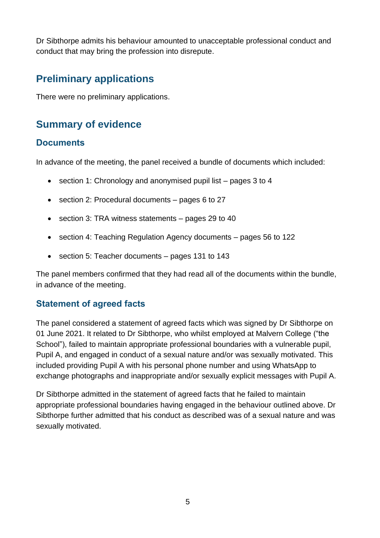Dr Sibthorpe admits his behaviour amounted to unacceptable professional conduct and conduct that may bring the profession into disrepute.

# <span id="page-4-0"></span>**Preliminary applications**

There were no preliminary applications.

# <span id="page-4-1"></span>**Summary of evidence**

## <span id="page-4-2"></span>**Documents**

In advance of the meeting, the panel received a bundle of documents which included:

- section 1: Chronology and anonymised pupil list pages 3 to 4
- section 2: Procedural documents pages 6 to 27
- section 3: TRA witness statements pages 29 to 40
- section 4: Teaching Regulation Agency documents pages 56 to 122
- section 5: Teacher documents pages 131 to 143

The panel members confirmed that they had read all of the documents within the bundle, in advance of the meeting.

## <span id="page-4-3"></span>**Statement of agreed facts**

The panel considered a statement of agreed facts which was signed by Dr Sibthorpe on 01 June 2021. It related to Dr Sibthorpe, who whilst employed at Malvern College ("the School"), failed to maintain appropriate professional boundaries with a vulnerable pupil, Pupil A, and engaged in conduct of a sexual nature and/or was sexually motivated. This included providing Pupil A with his personal phone number and using WhatsApp to exchange photographs and inappropriate and/or sexually explicit messages with Pupil A.

Dr Sibthorpe admitted in the statement of agreed facts that he failed to maintain appropriate professional boundaries having engaged in the behaviour outlined above. Dr Sibthorpe further admitted that his conduct as described was of a sexual nature and was sexually motivated.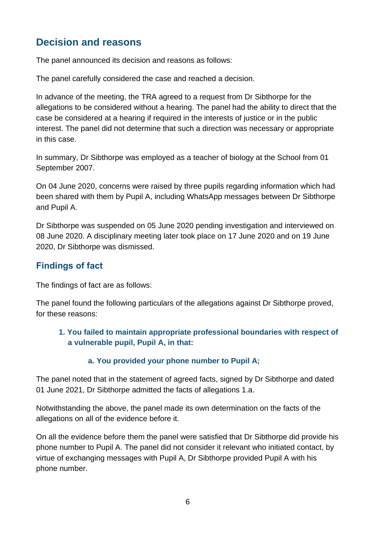# <span id="page-5-0"></span>**Decision and reasons**

The panel announced its decision and reasons as follows:

The panel carefully considered the case and reached a decision.

In advance of the meeting, the TRA agreed to a request from Dr Sibthorpe for the allegations to be considered without a hearing. The panel had the ability to direct that the case be considered at a hearing if required in the interests of justice or in the public interest. The panel did not determine that such a direction was necessary or appropriate in this case.

In summary, Dr Sibthorpe was employed as a teacher of biology at the School from 01 September 2007.

On 04 June 2020, concerns were raised by three pupils regarding information which had been shared with them by Pupil A, including WhatsApp messages between Dr Sibthorpe and Pupil A.

Dr Sibthorpe was suspended on 05 June 2020 pending investigation and interviewed on 08 June 2020. A disciplinary meeting later took place on 17 June 2020 and on 19 June 2020, Dr Sibthorpe was dismissed.

## <span id="page-5-1"></span>**Findings of fact**

The findings of fact are as follows:

The panel found the following particulars of the allegations against Dr Sibthorpe proved, for these reasons:

#### **1. You failed to maintain appropriate professional boundaries with respect of a vulnerable pupil, Pupil A, in that:**

#### **a. You provided your phone number to Pupil A;**

The panel noted that in the statement of agreed facts, signed by Dr Sibthorpe and dated 01 June 2021, Dr Sibthorpe admitted the facts of allegations 1.a.

Notwithstanding the above, the panel made its own determination on the facts of the allegations on all of the evidence before it.

On all the evidence before them the panel were satisfied that Dr Sibthorpe did provide his phone number to Pupil A. The panel did not consider it relevant who initiated contact, by virtue of exchanging messages with Pupil A, Dr Sibthorpe provided Pupil A with his phone number.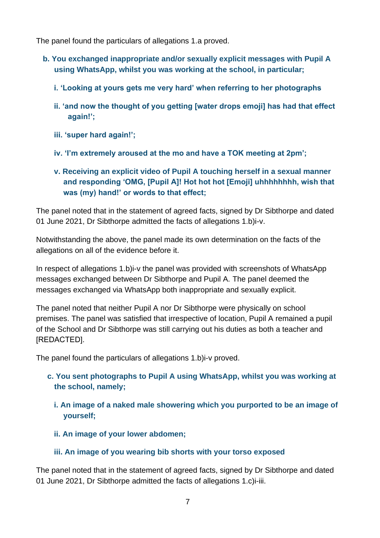The panel found the particulars of allegations 1.a proved.

- **b. You exchanged inappropriate and/or sexually explicit messages with Pupil A using WhatsApp, whilst you was working at the school, in particular;**
	- **i. 'Looking at yours gets me very hard' when referring to her photographs**
	- **ii. 'and now the thought of you getting [water drops emoji] has had that effect again!';**
	- **iii. 'super hard again!';**
	- **iv. 'I'm extremely aroused at the mo and have a TOK meeting at 2pm';**
	- **v. Receiving an explicit video of Pupil A touching herself in a sexual manner and responding 'OMG, [Pupil A]! Hot hot hot [Emoji] uhhhhhhhh, wish that was (my) hand!' or words to that effect;**

The panel noted that in the statement of agreed facts, signed by Dr Sibthorpe and dated 01 June 2021, Dr Sibthorpe admitted the facts of allegations 1.b)i-v.

Notwithstanding the above, the panel made its own determination on the facts of the allegations on all of the evidence before it.

In respect of allegations 1.b)i-v the panel was provided with screenshots of WhatsApp messages exchanged between Dr Sibthorpe and Pupil A. The panel deemed the messages exchanged via WhatsApp both inappropriate and sexually explicit.

The panel noted that neither Pupil A nor Dr Sibthorpe were physically on school premises. The panel was satisfied that irrespective of location, Pupil A remained a pupil of the School and Dr Sibthorpe was still carrying out his duties as both a teacher and [REDACTED].

The panel found the particulars of allegations 1.b)i-v proved.

- **c. You sent photographs to Pupil A using WhatsApp, whilst you was working at the school, namely;**
	- **i. An image of a naked male showering which you purported to be an image of yourself;**
	- **ii. An image of your lower abdomen;**
	- **iii. An image of you wearing bib shorts with your torso exposed**

The panel noted that in the statement of agreed facts, signed by Dr Sibthorpe and dated 01 June 2021, Dr Sibthorpe admitted the facts of allegations 1.c)i-iii.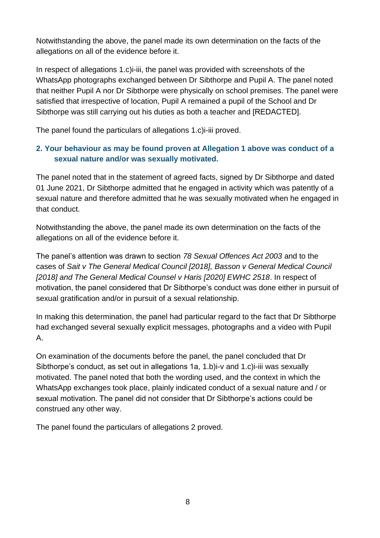Notwithstanding the above, the panel made its own determination on the facts of the allegations on all of the evidence before it.

In respect of allegations 1.c)i-iii, the panel was provided with screenshots of the WhatsApp photographs exchanged between Dr Sibthorpe and Pupil A. The panel noted that neither Pupil A nor Dr Sibthorpe were physically on school premises. The panel were satisfied that irrespective of location, Pupil A remained a pupil of the School and Dr Sibthorpe was still carrying out his duties as both a teacher and [REDACTED].

The panel found the particulars of allegations 1.c)i-iii proved.

#### **2. Your behaviour as may be found proven at Allegation 1 above was conduct of a sexual nature and/or was sexually motivated.**

The panel noted that in the statement of agreed facts, signed by Dr Sibthorpe and dated 01 June 2021, Dr Sibthorpe admitted that he engaged in activity which was patently of a sexual nature and therefore admitted that he was sexually motivated when he engaged in that conduct.

Notwithstanding the above, the panel made its own determination on the facts of the allegations on all of the evidence before it.

The panel's attention was drawn to section *78 Sexual Offences Act 2003* and to the cases of *Sait v The General Medical Council [2018], Basson v General Medical Council [2018] and The General Medical Counsel v Haris [2020] EWHC 2518*. In respect of motivation, the panel considered that Dr Sibthorpe's conduct was done either in pursuit of sexual gratification and/or in pursuit of a sexual relationship.

In making this determination, the panel had particular regard to the fact that Dr Sibthorpe had exchanged several sexually explicit messages, photographs and a video with Pupil A.

On examination of the documents before the panel, the panel concluded that Dr Sibthorpe's conduct, as set out in allegations 1a, 1.b)i-v and 1.c)i-iii was sexually motivated. The panel noted that both the wording used, and the context in which the WhatsApp exchanges took place, plainly indicated conduct of a sexual nature and / or sexual motivation. The panel did not consider that Dr Sibthorpe's actions could be construed any other way.

The panel found the particulars of allegations 2 proved.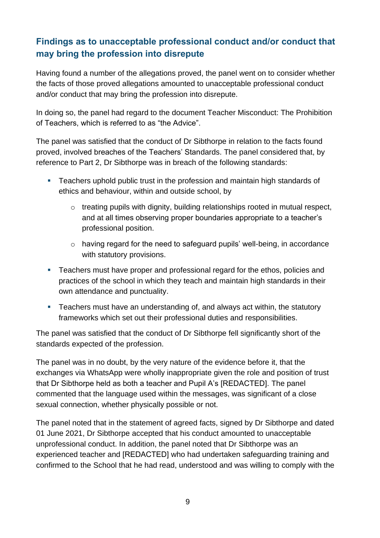## **Findings as to unacceptable professional conduct and/or conduct that may bring the profession into disrepute**

Having found a number of the allegations proved, the panel went on to consider whether the facts of those proved allegations amounted to unacceptable professional conduct and/or conduct that may bring the profession into disrepute.

In doing so, the panel had regard to the document Teacher Misconduct: The Prohibition of Teachers, which is referred to as "the Advice".

The panel was satisfied that the conduct of Dr Sibthorpe in relation to the facts found proved, involved breaches of the Teachers' Standards. The panel considered that, by reference to Part 2, Dr Sibthorpe was in breach of the following standards:

- Teachers uphold public trust in the profession and maintain high standards of ethics and behaviour, within and outside school, by
	- o treating pupils with dignity, building relationships rooted in mutual respect, and at all times observing proper boundaries appropriate to a teacher's professional position.
	- o having regard for the need to safeguard pupils' well-being, in accordance with statutory provisions.
- Teachers must have proper and professional regard for the ethos, policies and practices of the school in which they teach and maintain high standards in their own attendance and punctuality.
- **EXE** Teachers must have an understanding of, and always act within, the statutory frameworks which set out their professional duties and responsibilities.

The panel was satisfied that the conduct of Dr Sibthorpe fell significantly short of the standards expected of the profession.

The panel was in no doubt, by the very nature of the evidence before it, that the exchanges via WhatsApp were wholly inappropriate given the role and position of trust that Dr Sibthorpe held as both a teacher and Pupil A's [REDACTED]. The panel commented that the language used within the messages, was significant of a close sexual connection, whether physically possible or not.

The panel noted that in the statement of agreed facts, signed by Dr Sibthorpe and dated 01 June 2021, Dr Sibthorpe accepted that his conduct amounted to unacceptable unprofessional conduct. In addition, the panel noted that Dr Sibthorpe was an experienced teacher and [REDACTED] who had undertaken safeguarding training and confirmed to the School that he had read, understood and was willing to comply with the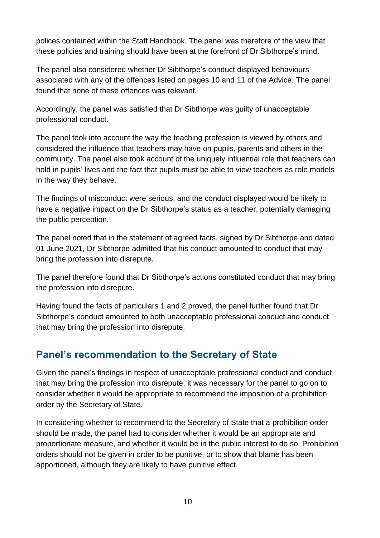polices contained within the Staff Handbook. The panel was therefore of the view that these policies and training should have been at the forefront of Dr Sibthorpe's mind.

The panel also considered whether Dr Sibthorpe's conduct displayed behaviours associated with any of the offences listed on pages 10 and 11 of the Advice. The panel found that none of these offences was relevant.

Accordingly, the panel was satisfied that Dr Sibthorpe was guilty of unacceptable professional conduct.

The panel took into account the way the teaching profession is viewed by others and considered the influence that teachers may have on pupils, parents and others in the community. The panel also took account of the uniquely influential role that teachers can hold in pupils' lives and the fact that pupils must be able to view teachers as role models in the way they behave.

The findings of misconduct were serious, and the conduct displayed would be likely to have a negative impact on the Dr Sibthorpe's status as a teacher, potentially damaging the public perception.

The panel noted that in the statement of agreed facts, signed by Dr Sibthorpe and dated 01 June 2021, Dr Sibthorpe admitted that his conduct amounted to conduct that may bring the profession into disrepute.

The panel therefore found that Dr Sibthorpe's actions constituted conduct that may bring the profession into disrepute.

Having found the facts of particulars 1 and 2 proved, the panel further found that Dr Sibthorpe's conduct amounted to both unacceptable professional conduct and conduct that may bring the profession into disrepute.

## <span id="page-9-0"></span>**Panel's recommendation to the Secretary of State**

Given the panel's findings in respect of unacceptable professional conduct and conduct that may bring the profession into disrepute, it was necessary for the panel to go on to consider whether it would be appropriate to recommend the imposition of a prohibition order by the Secretary of State.

In considering whether to recommend to the Secretary of State that a prohibition order should be made, the panel had to consider whether it would be an appropriate and proportionate measure, and whether it would be in the public interest to do so. Prohibition orders should not be given in order to be punitive, or to show that blame has been apportioned, although they are likely to have punitive effect.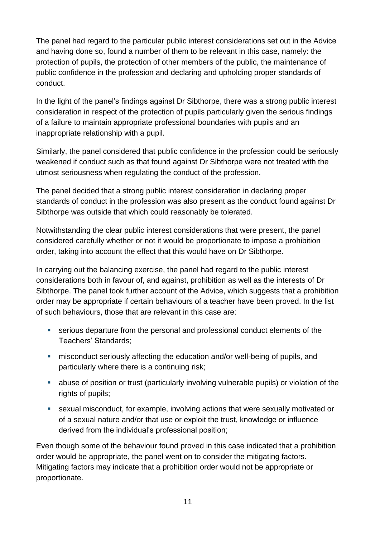The panel had regard to the particular public interest considerations set out in the Advice and having done so, found a number of them to be relevant in this case, namely: the protection of pupils, the protection of other members of the public, the maintenance of public confidence in the profession and declaring and upholding proper standards of conduct.

In the light of the panel's findings against Dr Sibthorpe, there was a strong public interest consideration in respect of the protection of pupils particularly given the serious findings of a failure to maintain appropriate professional boundaries with pupils and an inappropriate relationship with a pupil.

Similarly, the panel considered that public confidence in the profession could be seriously weakened if conduct such as that found against Dr Sibthorpe were not treated with the utmost seriousness when regulating the conduct of the profession.

The panel decided that a strong public interest consideration in declaring proper standards of conduct in the profession was also present as the conduct found against Dr Sibthorpe was outside that which could reasonably be tolerated.

Notwithstanding the clear public interest considerations that were present, the panel considered carefully whether or not it would be proportionate to impose a prohibition order, taking into account the effect that this would have on Dr Sibthorpe.

In carrying out the balancing exercise, the panel had regard to the public interest considerations both in favour of, and against, prohibition as well as the interests of Dr Sibthorpe. The panel took further account of the Advice, which suggests that a prohibition order may be appropriate if certain behaviours of a teacher have been proved. In the list of such behaviours, those that are relevant in this case are:

- serious departure from the personal and professional conduct elements of the Teachers' Standards;
- **EXEDENT MISCONDUCT** misconduct seriously affecting the education and/or well-being of pupils, and particularly where there is a continuing risk;
- **EXECT** abuse of position or trust (particularly involving vulnerable pupils) or violation of the rights of pupils;
- sexual misconduct, for example, involving actions that were sexually motivated or of a sexual nature and/or that use or exploit the trust, knowledge or influence derived from the individual's professional position;

Even though some of the behaviour found proved in this case indicated that a prohibition order would be appropriate, the panel went on to consider the mitigating factors. Mitigating factors may indicate that a prohibition order would not be appropriate or proportionate.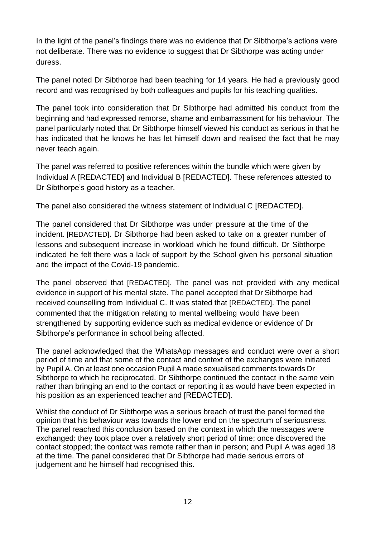In the light of the panel's findings there was no evidence that Dr Sibthorpe's actions were not deliberate. There was no evidence to suggest that Dr Sibthorpe was acting under duress.

The panel noted Dr Sibthorpe had been teaching for 14 years. He had a previously good record and was recognised by both colleagues and pupils for his teaching qualities.

The panel took into consideration that Dr Sibthorpe had admitted his conduct from the beginning and had expressed remorse, shame and embarrassment for his behaviour. The panel particularly noted that Dr Sibthorpe himself viewed his conduct as serious in that he has indicated that he knows he has let himself down and realised the fact that he may never teach again.

The panel was referred to positive references within the bundle which were given by Individual A [REDACTED] and Individual B [REDACTED]. These references attested to Dr Sibthorpe's good history as a teacher.

The panel also considered the witness statement of Individual C [REDACTED].

The panel considered that Dr Sibthorpe was under pressure at the time of the incident. [REDACTED]. Dr Sibthorpe had been asked to take on a greater number of lessons and subsequent increase in workload which he found difficult. Dr Sibthorpe indicated he felt there was a lack of support by the School given his personal situation and the impact of the Covid-19 pandemic.

The panel observed that [REDACTED]. The panel was not provided with any medical evidence in support of his mental state. The panel accepted that Dr Sibthorpe had received counselling from Individual C. It was stated that [REDACTED]. The panel commented that the mitigation relating to mental wellbeing would have been strengthened by supporting evidence such as medical evidence or evidence of Dr Sibthorpe's performance in school being affected.

The panel acknowledged that the WhatsApp messages and conduct were over a short period of time and that some of the contact and context of the exchanges were initiated by Pupil A. On at least one occasion Pupil A made sexualised comments towards Dr Sibthorpe to which he reciprocated. Dr Sibthorpe continued the contact in the same vein rather than bringing an end to the contact or reporting it as would have been expected in his position as an experienced teacher and [REDACTED].

Whilst the conduct of Dr Sibthorpe was a serious breach of trust the panel formed the opinion that his behaviour was towards the lower end on the spectrum of seriousness. The panel reached this conclusion based on the context in which the messages were exchanged: they took place over a relatively short period of time; once discovered the contact stopped; the contact was remote rather than in person; and Pupil A was aged 18 at the time. The panel considered that Dr Sibthorpe had made serious errors of judgement and he himself had recognised this.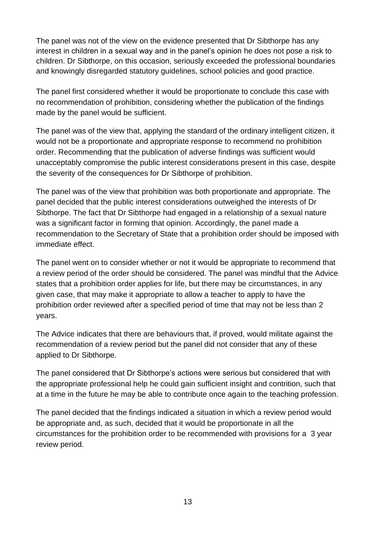The panel was not of the view on the evidence presented that Dr Sibthorpe has any interest in children in a sexual way and in the panel's opinion he does not pose a risk to children. Dr Sibthorpe, on this occasion, seriously exceeded the professional boundaries and knowingly disregarded statutory guidelines, school policies and good practice.

The panel first considered whether it would be proportionate to conclude this case with no recommendation of prohibition, considering whether the publication of the findings made by the panel would be sufficient.

The panel was of the view that, applying the standard of the ordinary intelligent citizen, it would not be a proportionate and appropriate response to recommend no prohibition order. Recommending that the publication of adverse findings was sufficient would unacceptably compromise the public interest considerations present in this case, despite the severity of the consequences for Dr Sibthorpe of prohibition.

The panel was of the view that prohibition was both proportionate and appropriate. The panel decided that the public interest considerations outweighed the interests of Dr Sibthorpe. The fact that Dr Sibthorpe had engaged in a relationship of a sexual nature was a significant factor in forming that opinion. Accordingly, the panel made a recommendation to the Secretary of State that a prohibition order should be imposed with immediate effect.

The panel went on to consider whether or not it would be appropriate to recommend that a review period of the order should be considered. The panel was mindful that the Advice states that a prohibition order applies for life, but there may be circumstances, in any given case, that may make it appropriate to allow a teacher to apply to have the prohibition order reviewed after a specified period of time that may not be less than 2 years.

The Advice indicates that there are behaviours that, if proved, would militate against the recommendation of a review period but the panel did not consider that any of these applied to Dr Sibthorpe.

The panel considered that Dr Sibthorpe's actions were serious but considered that with the appropriate professional help he could gain sufficient insight and contrition, such that at a time in the future he may be able to contribute once again to the teaching profession.

The panel decided that the findings indicated a situation in which a review period would be appropriate and, as such, decided that it would be proportionate in all the circumstances for the prohibition order to be recommended with provisions for a 3 year review period.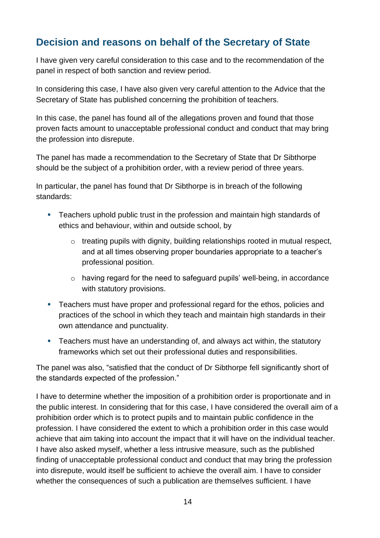# <span id="page-13-0"></span>**Decision and reasons on behalf of the Secretary of State**

I have given very careful consideration to this case and to the recommendation of the panel in respect of both sanction and review period.

In considering this case, I have also given very careful attention to the Advice that the Secretary of State has published concerning the prohibition of teachers.

In this case, the panel has found all of the allegations proven and found that those proven facts amount to unacceptable professional conduct and conduct that may bring the profession into disrepute.

The panel has made a recommendation to the Secretary of State that Dr Sibthorpe should be the subject of a prohibition order, with a review period of three years.

In particular, the panel has found that Dr Sibthorpe is in breach of the following standards:

- Teachers uphold public trust in the profession and maintain high standards of ethics and behaviour, within and outside school, by
	- $\circ$  treating pupils with dignity, building relationships rooted in mutual respect, and at all times observing proper boundaries appropriate to a teacher's professional position.
	- o having regard for the need to safeguard pupils' well-being, in accordance with statutory provisions.
- Teachers must have proper and professional regard for the ethos, policies and practices of the school in which they teach and maintain high standards in their own attendance and punctuality.
- Teachers must have an understanding of, and always act within, the statutory frameworks which set out their professional duties and responsibilities.

The panel was also, "satisfied that the conduct of Dr Sibthorpe fell significantly short of the standards expected of the profession."

I have to determine whether the imposition of a prohibition order is proportionate and in the public interest. In considering that for this case, I have considered the overall aim of a prohibition order which is to protect pupils and to maintain public confidence in the profession. I have considered the extent to which a prohibition order in this case would achieve that aim taking into account the impact that it will have on the individual teacher. I have also asked myself, whether a less intrusive measure, such as the published finding of unacceptable professional conduct and conduct that may bring the profession into disrepute, would itself be sufficient to achieve the overall aim. I have to consider whether the consequences of such a publication are themselves sufficient. I have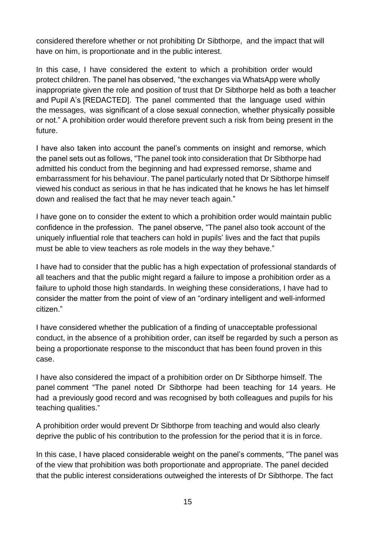considered therefore whether or not prohibiting Dr Sibthorpe, and the impact that will have on him, is proportionate and in the public interest.

In this case, I have considered the extent to which a prohibition order would protect children. The panel has observed, "the exchanges via WhatsApp were wholly inappropriate given the role and position of trust that Dr Sibthorpe held as both a teacher and Pupil A's [REDACTED]. The panel commented that the language used within the messages, was significant of a close sexual connection, whether physically possible or not." A prohibition order would therefore prevent such a risk from being present in the future.

I have also taken into account the panel's comments on insight and remorse, which the panel sets out as follows, "The panel took into consideration that Dr Sibthorpe had admitted his conduct from the beginning and had expressed remorse, shame and embarrassment for his behaviour. The panel particularly noted that Dr Sibthorpe himself viewed his conduct as serious in that he has indicated that he knows he has let himself down and realised the fact that he may never teach again."

I have gone on to consider the extent to which a prohibition order would maintain public confidence in the profession. The panel observe, "The panel also took account of the uniquely influential role that teachers can hold in pupils' lives and the fact that pupils must be able to view teachers as role models in the way they behave."

I have had to consider that the public has a high expectation of professional standards of all teachers and that the public might regard a failure to impose a prohibition order as a failure to uphold those high standards. In weighing these considerations, I have had to consider the matter from the point of view of an "ordinary intelligent and well-informed citizen."

I have considered whether the publication of a finding of unacceptable professional conduct, in the absence of a prohibition order, can itself be regarded by such a person as being a proportionate response to the misconduct that has been found proven in this case.

I have also considered the impact of a prohibition order on Dr Sibthorpe himself. The panel comment "The panel noted Dr Sibthorpe had been teaching for 14 years. He had a previously good record and was recognised by both colleagues and pupils for his teaching qualities."

A prohibition order would prevent Dr Sibthorpe from teaching and would also clearly deprive the public of his contribution to the profession for the period that it is in force.

In this case, I have placed considerable weight on the panel's comments, "The panel was of the view that prohibition was both proportionate and appropriate. The panel decided that the public interest considerations outweighed the interests of Dr Sibthorpe. The fact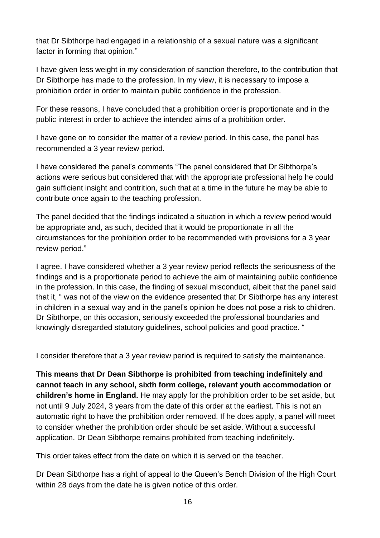that Dr Sibthorpe had engaged in a relationship of a sexual nature was a significant factor in forming that opinion."

I have given less weight in my consideration of sanction therefore, to the contribution that Dr Sibthorpe has made to the profession. In my view, it is necessary to impose a prohibition order in order to maintain public confidence in the profession.

For these reasons, I have concluded that a prohibition order is proportionate and in the public interest in order to achieve the intended aims of a prohibition order.

I have gone on to consider the matter of a review period. In this case, the panel has recommended a 3 year review period.

I have considered the panel's comments "The panel considered that Dr Sibthorpe's actions were serious but considered that with the appropriate professional help he could gain sufficient insight and contrition, such that at a time in the future he may be able to contribute once again to the teaching profession.

The panel decided that the findings indicated a situation in which a review period would be appropriate and, as such, decided that it would be proportionate in all the circumstances for the prohibition order to be recommended with provisions for a 3 year review period."

I agree. I have considered whether a 3 year review period reflects the seriousness of the findings and is a proportionate period to achieve the aim of maintaining public confidence in the profession. In this case, the finding of sexual misconduct, albeit that the panel said that it, " was not of the view on the evidence presented that Dr Sibthorpe has any interest in children in a sexual way and in the panel's opinion he does not pose a risk to children. Dr Sibthorpe, on this occasion, seriously exceeded the professional boundaries and knowingly disregarded statutory guidelines, school policies and good practice. "

I consider therefore that a 3 year review period is required to satisfy the maintenance.

**This means that Dr Dean Sibthorpe is prohibited from teaching indefinitely and cannot teach in any school, sixth form college, relevant youth accommodation or children's home in England.** He may apply for the prohibition order to be set aside, but not until 9 July 2024, 3 years from the date of this order at the earliest. This is not an automatic right to have the prohibition order removed. If he does apply, a panel will meet to consider whether the prohibition order should be set aside. Without a successful application, Dr Dean Sibthorpe remains prohibited from teaching indefinitely.

This order takes effect from the date on which it is served on the teacher.

Dr Dean Sibthorpe has a right of appeal to the Queen's Bench Division of the High Court within 28 days from the date he is given notice of this order.